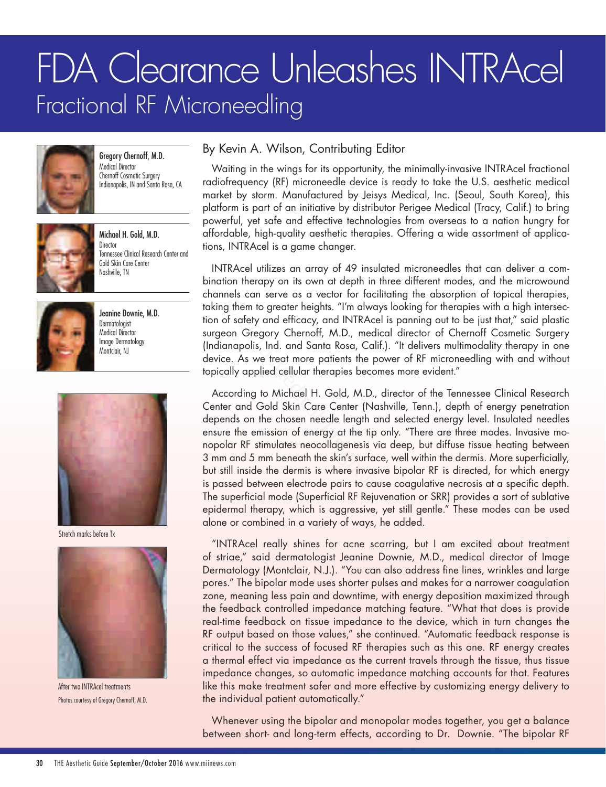## FDA Clearance Unleashes INTRAcel Fractional RF Microneedling



Gregory Chernoff, M.D. Medical Director Chernoff Cosmetic Surgery Indianapolis, IN and Santa Rosa, CA



Michael H. Gold, M.D. Director Tennessee Clinical Research Center and Gold Skin Care Center Nashville, TN



Jeanine Downie, M.D. Dermatologist Medical Director Image Dermatology Montclair, NJ



Stretch marks before Tx



After two INTRAcel treatments Photos courtesy of Gregory Chernoff, M.D.

## By Kevin A. Wilson, Contributing Editor

Waiting in the wings for its opportunity, the minimally-invasive INTRAcel fractional radiofrequency (RF) microneedle device is ready to take the U.S. aesthetic medical market by storm. Manufactured by Jeisys Medical, Inc. (Seoul, South Korea), this platform is part of an initiative by distributor Perigee Medical (Tracy, Calif.) to bring powerful, yet safe and effective technologies from overseas to a nation hungry for affordable, high-quality aesthetic therapies. Offering a wide assortment of applications, INTRAcel is a game changer.

INTRAcel utilizes an array of 49 insulated microneedles that can deliver a combination therapy on its own at depth in three different modes, and the microwound channels can serve as a vector for facilitating the absorption of topical therapies, taking them to greater heights. "I'm always looking for therapies with a high intersection of safety and efficacy, and INTRAcel is panning out to be just that," said plastic surgeon Gregory Chernoff, M.D., medical director of Chernoff Cosmetic Surgery (Indianapolis, Ind. and Santa Rosa, Calif.). "It delivers multimodality therapy in one device. As we treat more patients the power of RF microneedling with and without topically applied cellular therapies becomes more evident."

According to Michael H. Gold, M.D., director of the Tennessee Clinical Research Center and Gold Skin Care Center (Nashville, Tenn.), depth of energy penetration depends on the chosen needle length and selected energy level. Insulated needles ensure the emission of energy at the tip only. "There are three modes. Invasive monopolar RF stimulates neocollagenesis via deep, but diffuse tissue heating between 3 mm and 5 mm beneath the skin's surface, well within the dermis. More superficially, but still inside the dermis is where invasive bipolar RF is directed, for which energy is passed between electrode pairs to cause coagulative necrosis at a specific depth. The superficial mode (Superficial RF Rejuvenation or SRR) provides a sort of sublative epidermal therapy, which is aggressive, yet still gentle." These modes can be used alone or combined in a variety of ways, he added. resisted for the diversity of the method of safety and efficacy, and INTRAce<br>oon Gregory Chernoff, M.D., medianapolis, Ind. and Santa Rosa, Cali<br>ce. As we treat more patients the polly applied cellular therapies becon<br>cord

"INTRAcel really shines for acne scarring, but I am excited about treatment of striae," said dermatologist Jeanine Downie, M.D., medical director of Image Dermatology (Montclair, N.J.). "You can also address fine lines, wrinkles and large pores." The bipolar mode uses shorter pulses and makes for a narrower coagulation zone, meaning less pain and downtime, with energy deposition maximized through the feedback controlled impedance matching feature. "What that does is provide real-time feedback on tissue impedance to the device, which in turn changes the RF output based on those values," she continued. "Automatic feedback response is critical to the success of focused RF therapies such as this one. RF energy creates a thermal effect via impedance as the current travels through the tissue, thus tissue impedance changes, so automatic impedance matching accounts for that. Features like this make treatment safer and more effective by customizing energy delivery to the individual patient automatically."

Whenever using the bipolar and monopolar modes together, you get a balance between short- and long-term effects, according to Dr. Downie. "The bipolar RF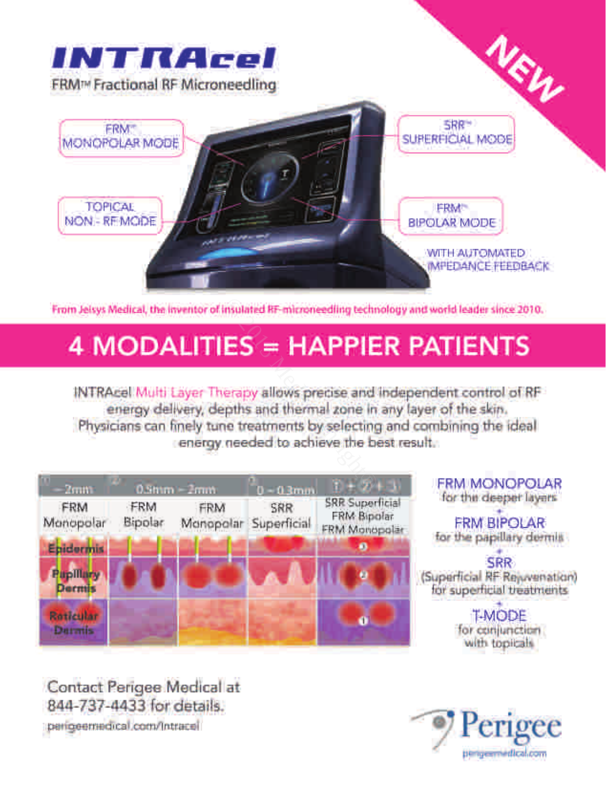

From Jelsys Medical, the inventor of insulated RF-microneedling technology and world leader since 2010.<br>
4 MODALITIES = HAPPIER PATIENTS<br>
INTRAcel Multi Layer Therapy allows precise and independent control of RF<br>
energy de

| $2$ mm                            |                | $0.5mm = 2mm$    | $0 - 0.3$ mm       |                                                               |
|-----------------------------------|----------------|------------------|--------------------|---------------------------------------------------------------|
| FRM<br>Monopolar                  | FRM<br>Bipolar | FRM<br>Monopolar | SRR<br>Superficial | <b>SRR Superficial</b><br>FRM Bipolar<br><b>FRM Monopolar</b> |
| Epidermis                         |                |                  |                    |                                                               |
| <b>Papillary</b><br><b>Dermis</b> |                |                  |                    | ø                                                             |
| Raticular<br>Darmis               |                |                  |                    |                                                               |

**FRM MONOPOLAR** for the deeper layers

**FRM BIPOLAR** for the papillary dermis

**SRR** (Superficial RF Rejuvenation) for superficial treatments

> **T-MODE** for conjunction with topicals

Contact Perigee Medical at 844-737-4433 for details. perigeemedical.com/Intracel